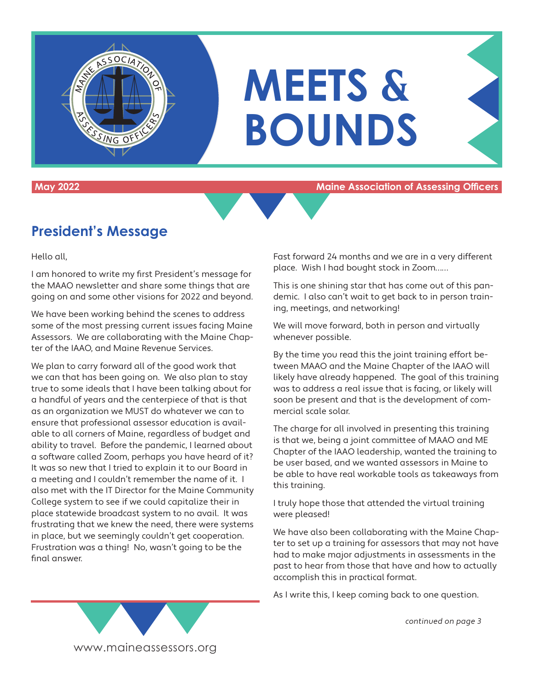

**May 2022 Maine Association of Assessing Officers**

# **President's Message**

Hello all,

I am honored to write my first President's message for the MAAO newsletter and share some things that are going on and some other visions for 2022 and beyond.

We have been working behind the scenes to address some of the most pressing current issues facing Maine Assessors. We are collaborating with the Maine Chapter of the IAAO, and Maine Revenue Services.

We plan to carry forward all of the good work that we can that has been going on. We also plan to stay true to some ideals that I have been talking about for a handful of years and the centerpiece of that is that as an organization we MUST do whatever we can to ensure that professional assessor education is available to all corners of Maine, regardless of budget and ability to travel. Before the pandemic, I learned about a software called Zoom, perhaps you have heard of it? It was so new that I tried to explain it to our Board in a meeting and I couldn't remember the name of it. I also met with the IT Director for the Maine Community College system to see if we could capitalize their in place statewide broadcast system to no avail. It was frustrating that we knew the need, there were systems in place, but we seemingly couldn't get cooperation. Frustration was a thing! No, wasn't going to be the final answer.

Fast forward 24 months and we are in a very different place. Wish I had bought stock in Zoom……

This is one shining star that has come out of this pandemic. I also can't wait to get back to in person training, meetings, and networking!

We will move forward, both in person and virtually whenever possible.

By the time you read this the joint training effort between MAAO and the Maine Chapter of the IAAO will likely have already happened. The goal of this training was to address a real issue that is facing, or likely will soon be present and that is the development of commercial scale solar.

The charge for all involved in presenting this training is that we, being a joint committee of MAAO and ME Chapter of the IAAO leadership, wanted the training to be user based, and we wanted assessors in Maine to be able to have real workable tools as takeaways from this training.

I truly hope those that attended the virtual training were pleased!

We have also been collaborating with the Maine Chapter to set up a training for assessors that may not have had to make major adjustments in assessments in the past to hear from those that have and how to actually accomplish this in practical format.

As I write this, I keep coming back to one question.

continued on page 3

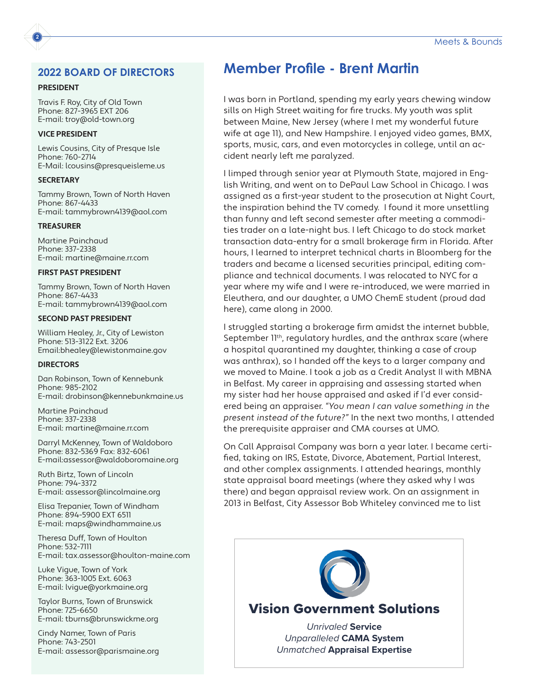#### **2022 BOARD OF DIRECTORS**

#### **PRESIDENT**

**2**

Travis F. Roy, City of Old Town Phone: 827-3965 EXT 206 E-mail: troy@old-town.org

#### **VICE PRESIDENT**

Lewis Cousins, City of Presque Isle Phone: 760-2714 E-Mail: lcousins@presqueisleme.us

#### **SECRETARY**

Tammy Brown, Town of North Haven Phone: 867-4433 E-mail: tammybrown4139@aol.com

#### **TREASURER**

Martine Painchaud Phone: 337-2338 E-mail: martine@maine.rr.com

#### **FIRST PAST PRESIDENT**

Tammy Brown, Town of North Haven Phone: 867-4433 E-mail: tammybrown4139@aol.com

#### **SECOND PAST PRESIDENT**

William Healey, Jr., City of Lewiston Phone: 513-3122 Ext. 3206 Email:bhealey@lewistonmaine.gov

#### **DIRECTORS**

Dan Robinson, Town of Kennebunk Phone: 985-2102 E-mail: drobinson@kennebunkmaine.us

Martine Painchaud Phone: 337-2338 E-mail: martine@maine.rr.com

Darryl McKenney, Town of Waldoboro Phone: 832-5369 Fax: 832-6061 E-mail:assessor@waldoboromaine.org

Ruth Birtz, Town of Lincoln Phone: 794-3372 E-mail: assessor@lincolmaine.org

Elisa Trepanier, Town of Windham Phone: 894-5900 EXT 6511 E-mail: maps@windhammaine.us

Theresa Duff, Town of Houlton Phone: 532-7111 E-mail: tax.assessor@houlton-maine.com

Luke Vigue, Town of York Phone: 363-1005 Ext. 6063 E-mail: lvigue@yorkmaine.org

Taylor Burns, Town of Brunswick Phone: 725-6650 E-mail: tburns@brunswickme.org

Cindy Namer, Town of Paris Phone: 743-2501 E-mail: assessor@parismaine.org

# **Member Profile - Brent Martin**

I was born in Portland, spending my early years chewing window sills on High Street waiting for fire trucks. My youth was split between Maine, New Jersey (where I met my wonderful future wife at age 11), and New Hampshire. I enjoyed video games, BMX, sports, music, cars, and even motorcycles in college, until an accident nearly left me paralyzed.

I limped through senior year at Plymouth State, majored in English Writing, and went on to DePaul Law School in Chicago. I was assigned as a first-year student to the prosecution at Night Court, the inspiration behind the TV comedy. I found it more unsettling than funny and left second semester after meeting a commodities trader on a late-night bus. I left Chicago to do stock market transaction data-entry for a small brokerage firm in Florida. After hours, I learned to interpret technical charts in Bloomberg for the traders and became a licensed securities principal, editing compliance and technical documents. I was relocated to NYC for a year where my wife and I were re-introduced, we were married in Eleuthera, and our daughter, a UMO ChemE student (proud dad here), came along in 2000.

I struggled starting a brokerage firm amidst the internet bubble, September II<sup>th</sup>, regulatory hurdles, and the anthrax scare (where a hospital quarantined my daughter, thinking a case of croup was anthrax), so I handed off the keys to a larger company and we moved to Maine. I took a job as a Credit Analyst II with MBNA in Belfast. My career in appraising and assessing started when my sister had her house appraised and asked if I'd ever considered being an appraiser. "You mean I can value something in the present instead of the future?" In the next two months, I attended the prerequisite appraiser and CMA courses at UMO.

On Call Appraisal Company was born a year later. I became certified, taking on IRS, Estate, Divorce, Abatement, Partial Interest, and other complex assignments. I attended hearings, monthly state appraisal board meetings (where they asked why I was there) and began appraisal review work. On an assignment in 2013 in Belfast, City Assessor Bob Whiteley convinced me to list

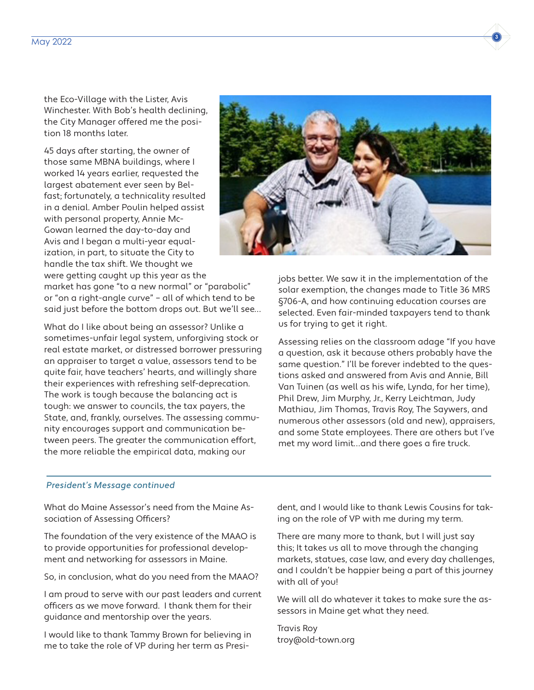the Eco-Village with the Lister, Avis Winchester. With Bob's health declining, the City Manager offered me the position 18 months later.

45 days after starting, the owner of those same MBNA buildings, where I worked 14 years earlier, requested the largest abatement ever seen by Belfast; fortunately, a technicality resulted in a denial. Amber Poulin helped assist with personal property, Annie Mc-Gowan learned the day-to-day and Avis and I began a multi-year equalization, in part, to situate the City to handle the tax shift. We thought we were getting caught up this year as the

market has gone "to a new normal" or "parabolic" or "on a right-angle curve" – all of which tend to be said just before the bottom drops out. But we'll see…

What do I like about being an assessor? Unlike a sometimes-unfair legal system, unforgiving stock or real estate market, or distressed borrower pressuring an appraiser to target a value, assessors tend to be quite fair, have teachers' hearts, and willingly share their experiences with refreshing self-deprecation. The work is tough because the balancing act is tough: we answer to councils, the tax payers, the State, and, frankly, ourselves. The assessing community encourages support and communication between peers. The greater the communication effort, the more reliable the empirical data, making our



jobs better. We saw it in the implementation of the solar exemption, the changes made to Title 36 MRS §706-A, and how continuing education courses are selected. Even fair-minded taxpayers tend to thank us for trying to get it right.

Assessing relies on the classroom adage "If you have a question, ask it because others probably have the same question." I'll be forever indebted to the questions asked and answered from Avis and Annie, Bill Van Tuinen (as well as his wife, Lynda, for her time), Phil Drew, Jim Murphy, Jr., Kerry Leichtman, Judy Mathiau, Jim Thomas, Travis Roy, The Saywers, and numerous other assessors (old and new), appraisers, and some State employees. There are others but I've met my word limit…and there goes a fire truck.

#### President's Message continued

What do Maine Assessor's need from the Maine Association of Assessing Officers?

The foundation of the very existence of the MAAO is to provide opportunities for professional development and networking for assessors in Maine.

So, in conclusion, what do you need from the MAAO?

I am proud to serve with our past leaders and current officers as we move forward. I thank them for their guidance and mentorship over the years.

I would like to thank Tammy Brown for believing in me to take the role of VP during her term as President, and I would like to thank Lewis Cousins for taking on the role of VP with me during my term.

There are many more to thank, but I will just say this; It takes us all to move through the changing markets, statues, case law, and every day challenges, and I couldn't be happier being a part of this journey with all of you!

We will all do whatever it takes to make sure the assessors in Maine get what they need.

Travis Roy troy@old-town.org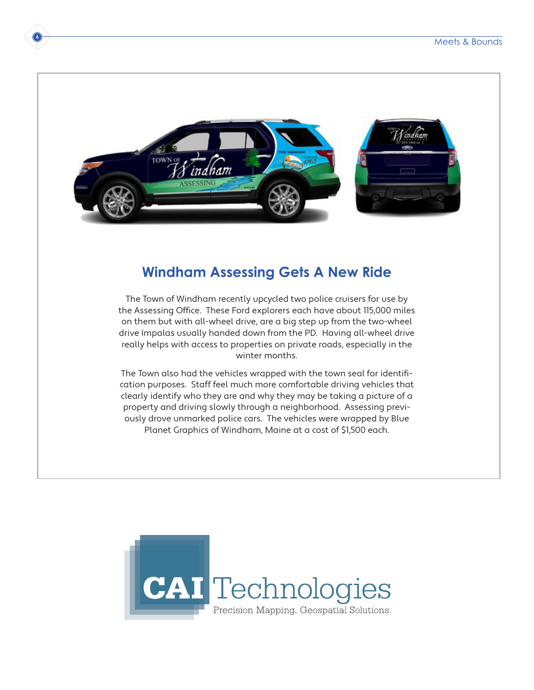

**6**

## **Windham Assessing Gets A New Ride**

The Town of Windham recently upcycled two police cruisers for use by the Assessing Office. These Ford explorers each have about 115,000 miles on them but with all-wheel drive, are a big step up from the two-wheel drive Impalas usually handed down from the PD. Having all-wheel drive really helps with access to properties on private roads, especially in the winter months.

The Town also had the vehicles wrapped with the town seal for identification purposes. Staff feel much more comfortable driving vehicles that clearly identify who they are and why they may be taking a picture of a property and driving slowly through a neighborhood. Assessing previously drove unmarked police cars. The vehicles were wrapped by Blue Planet Graphics of Windham, Maine at a cost of \$1,500 each.

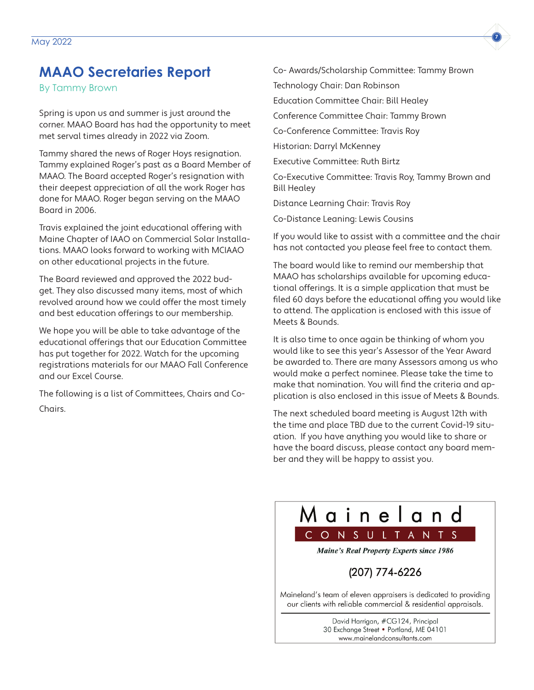# **MAAO Secretaries Report**

By Tammy Brown

Spring is upon us and summer is just around the corner. MAAO Board has had the opportunity to meet met serval times already in 2022 via Zoom.

Tammy shared the news of Roger Hoys resignation. Tammy explained Roger's past as a Board Member of MAAO. The Board accepted Roger's resignation with their deepest appreciation of all the work Roger has done for MAAO. Roger began serving on the MAAO Board in 2006.

Travis explained the joint educational offering with Maine Chapter of IAAO on Commercial Solar Installations. MAAO looks forward to working with MCIAAO on other educational projects in the future.

The Board reviewed and approved the 2022 budget. They also discussed many items, most of which revolved around how we could offer the most timely and best education offerings to our membership.

We hope you will be able to take advantage of the educational offerings that our Education Committee has put together for 2022. Watch for the upcoming registrations materials for our MAAO Fall Conference and our Excel Course.

The following is a list of Committees, Chairs and Co-Chairs.

President: Travis Roy

Vice President: Lewis Cousins

Secretary: Tammy Brown

Treasurer: Martine Painchaud

Co-Treasurer: Lewis Cousins

Audit/Finance: Ruth Birtz

Co-Audit/Finance: Darryl McKenney

Calendar/Advertising Chair: Lewis Cousins

Co-Calendar/Advertising: Theresa Duff

Newsletter Chair: Lewis Cousins

Co-Newsletter: Tammy Brown

Ethics Committee Chair: Travis

Legislative Committee Chair: Darryl McKenney

Membership Committee Chair: Theresa Duff Awards/

Scholarship Committee Chair: Elisa Trepianer

Co- Awards/Scholarship Committee: Tammy Brown

Technology Chair: Dan Robinson

Education Committee Chair: Bill Healey

Conference Committee Chair: Tammy Brown

Co-Conference Committee: Travis Roy

Historian: Darryl McKenney

Executive Committee: Ruth Birtz

Co-Executive Committee: Travis Roy, Tammy Brown and Bill Healey

Distance Learning Chair: Travis Roy

Co-Distance Leaning: Lewis Cousins

If you would like to assist with a committee and the chair has not contacted you please feel free to contact them.

The board would like to remind our membership that MAAO has scholarships available for upcoming educational offerings. It is a simple application that must be filed 60 days before the educational offing you would like to attend. The application is enclosed with this issue of Meets & Bounds.

It is also time to once again be thinking of whom you would like to see this year's Assessor of the Year Award be awarded to. There are many Assessors among us who would make a perfect nominee. Please take the time to make that nomination. You will find the criteria and application is also enclosed in this issue of Meets & Bounds.

The next scheduled board meeting is August 12th with the time and place TBD due to the current Covid-19 situation. If you have anything you would like to share or have the board discuss, please contact any board member and they will be happy to assist you.



**Maine's Real Property Experts since 1986** 

## (207) 774-6226

Maineland's team of eleven appraisers is dedicated to providing our clients with reliable commercial & residential appraisals.

> David Harrigan, #CG124, Principal 30 Exchange Street . Portland, ME 04101 www.mainelandconsultants.com

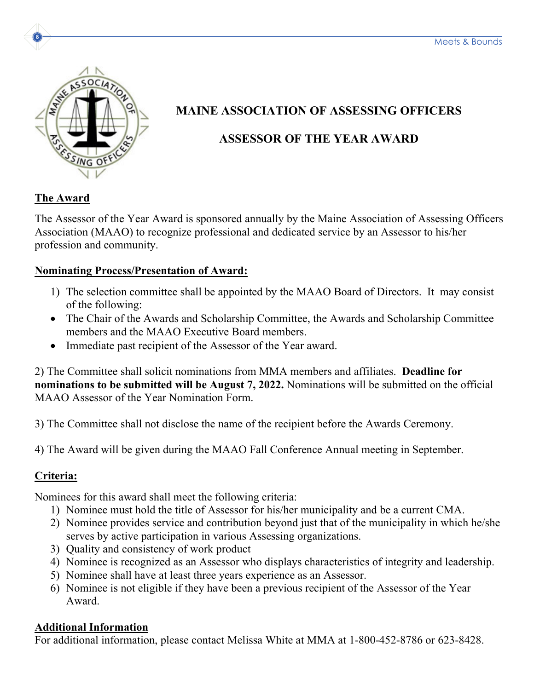

# **MAINE ASSOCIATION OF ASSESSING OFFICERS ASSESSOR OF THE YEAR AWARD**

## **The Award**

**8**

The Assessor of the Year Award is sponsored annually by the Maine Association of Assessing Officers Association (MAAO) to recognize professional and dedicated service by an Assessor to his/her profession and community.

## **Nominating Process/Presentation of Award:**

- 1) The selection committee shall be appointed by the MAAO Board of Directors. It may consist of the following:
- The Chair of the Awards and Scholarship Committee, the Awards and Scholarship Committee members and the MAAO Executive Board members.
- Immediate past recipient of the Assessor of the Year award.

2) The Committee shall solicit nominations from MMA members and affiliates. **Deadline for nominations to be submitted will be August 7, 2022.** Nominations will be submitted on the official MAAO Assessor of the Year Nomination Form.

3) The Committee shall not disclose the name of the recipient before the Awards Ceremony.

4) The Award will be given during the MAAO Fall Conference Annual meeting in September.

## **Criteria:**

Nominees for this award shall meet the following criteria:

- 1) Nominee must hold the title of Assessor for his/her municipality and be a current CMA.
- 2) Nominee provides service and contribution beyond just that of the municipality in which he/she serves by active participation in various Assessing organizations.
- 3) Quality and consistency of work product
- 4) Nominee is recognized as an Assessor who displays characteristics of integrity and leadership.
- 5) Nominee shall have at least three years experience as an Assessor.
- 6) Nominee is not eligible if they have been a previous recipient of the Assessor of the Year Award.

## **Additional Information**

For additional information, please contact Melissa White at MMA at 1-800-452-8786 or 623-8428.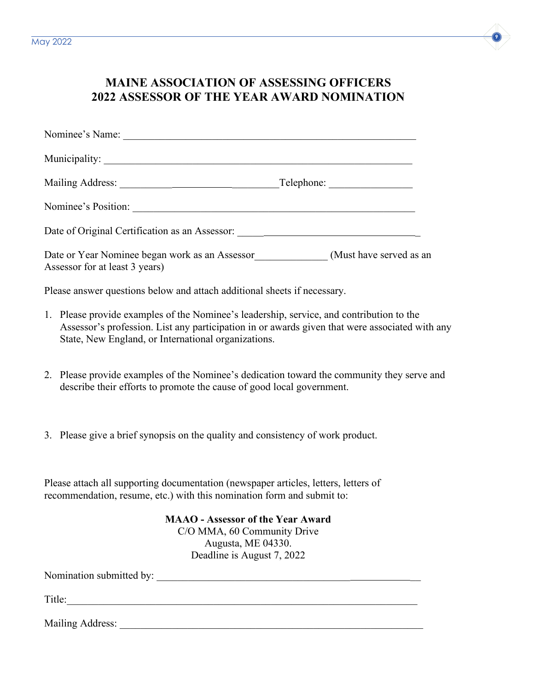

## **MAINE ASSOCIATION OF ASSESSING OFFICERS 2022 ASSESSOR OF THE YEAR AWARD NOMINATION**

| Nominee's Name:                                                                  |                         |
|----------------------------------------------------------------------------------|-------------------------|
|                                                                                  |                         |
|                                                                                  | Telephone:              |
| Nominee's Position:                                                              |                         |
| Date of Original Certification as an Assessor: _________________________________ |                         |
| Date or Year Nominee began work as an Assessor<br>Assessor for at least 3 years) | (Must have served as an |

Please answer questions below and attach additional sheets if necessary.

- 1. Please provide examples of the Nominee's leadership, service, and contribution to the Assessor's profession. List any participation in or awards given that were associated with any State, New England, or International organizations.
- 2. Please provide examples of the Nominee's dedication toward the community they serve and describe their efforts to promote the cause of good local government.
- 3. Please give a brief synopsis on the quality and consistency of work product.

Please attach all supporting documentation (newspaper articles, letters, letters of recommendation, resume, etc.) with this nomination form and submit to:

> **MAAO - Assessor of the Year Award** C/O MMA, 60 Community Drive Augusta, ME 04330. Deadline is August 7, 2022

Nomination submitted by: \_\_\_\_\_\_\_\_\_\_\_\_\_\_\_\_\_\_\_\_\_\_\_\_\_\_\_\_\_\_\_\_\_\_\_\_\_ \_\_

Title:\_\_\_\_\_\_\_\_\_\_\_\_\_\_\_\_\_\_\_\_\_\_\_\_\_\_\_\_\_\_\_\_\_\_\_\_\_\_\_\_\_\_\_\_\_\_\_\_\_\_\_\_\_\_\_\_\_\_\_\_\_\_\_\_\_\_\_

Mailing Address: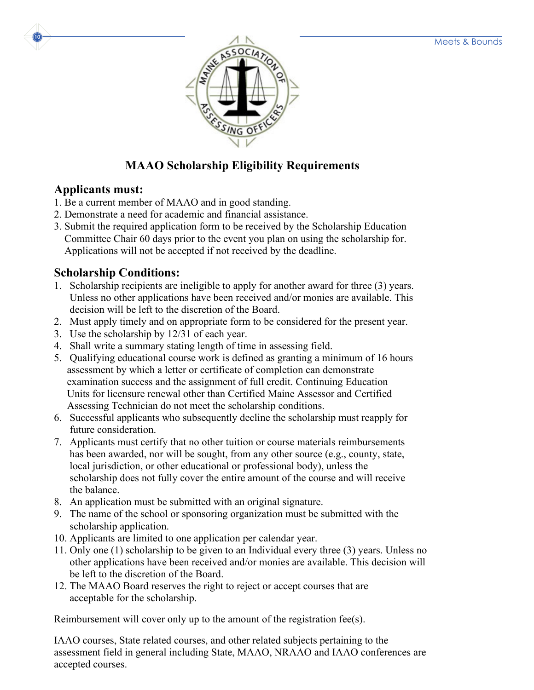

## **MAAO Scholarship Eligibility Requirements**

#### **Applicants must:**

- 1. Be a current member of MAAO and in good standing.
- 2. Demonstrate a need for academic and financial assistance.
- 3. Submit the required application form to be received by the Scholarship Education Committee Chair 60 days prior to the event you plan on using the scholarship for. Applications will not be accepted if not received by the deadline.

## **Scholarship Conditions:**

- 1. Scholarship recipients are ineligible to apply for another award for three (3) years. Unless no other applications have been received and/or monies are available. This decision will be left to the discretion of the Board.
- 2. Must apply timely and on appropriate form to be considered for the present year.
- 3. Use the scholarship by 12/31 of each year.
- 4. Shall write a summary stating length of time in assessing field.
- 5. Qualifying educational course work is defined as granting a minimum of 16 hours assessment by which a letter or certificate of completion can demonstrate examination success and the assignment of full credit. Continuing Education Units for licensure renewal other than Certified Maine Assessor and Certified Assessing Technician do not meet the scholarship conditions.
- 6. Successful applicants who subsequently decline the scholarship must reapply for future consideration.
- 7. Applicants must certify that no other tuition or course materials reimbursements has been awarded, nor will be sought, from any other source (e.g., county, state, local jurisdiction, or other educational or professional body), unless the scholarship does not fully cover the entire amount of the course and will receive the balance.
- 8. An application must be submitted with an original signature.
- 9. The name of the school or sponsoring organization must be submitted with the scholarship application.
- 10. Applicants are limited to one application per calendar year.
- 11. Only one (1) scholarship to be given to an Individual every three (3) years. Unless no other applications have been received and/or monies are available. This decision will be left to the discretion of the Board.
- 12. The MAAO Board reserves the right to reject or accept courses that are acceptable for the scholarship.

Reimbursement will cover only up to the amount of the registration fee(s).

IAAO courses, State related courses, and other related subjects pertaining to the assessment field in general including State, MAAO, NRAAO and IAAO conferences are accepted courses.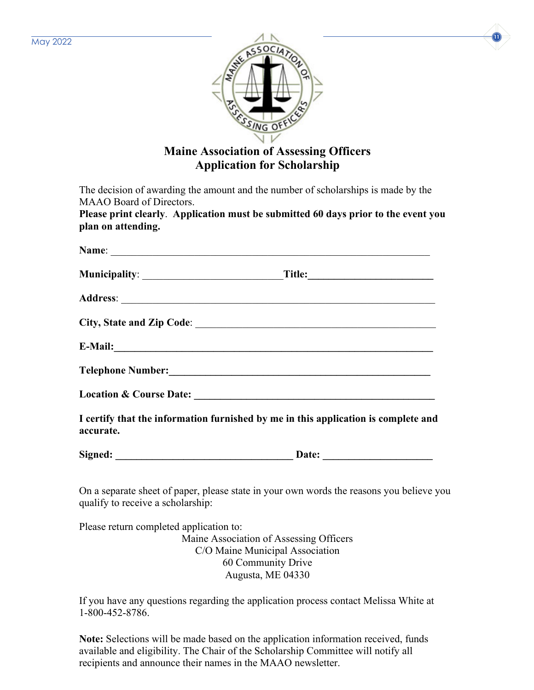



## **Maine Association of Assessing Officers Application for Scholarship**

The decision of awarding the amount and the number of scholarships is made by the MAAO Board of Directors.

**Please print clearly**. **Application must be submitted 60 days prior to the event you plan on attending.**

|                                         | Telephone Number: New York Channels and School Channels and School Channels and School Channels and School Channels and School Channels and School Channels and School Channels and School Channels and School Channels and Sc |  |
|-----------------------------------------|--------------------------------------------------------------------------------------------------------------------------------------------------------------------------------------------------------------------------------|--|
|                                         |                                                                                                                                                                                                                                |  |
| accurate.                               | I certify that the information furnished by me in this application is complete and                                                                                                                                             |  |
|                                         |                                                                                                                                                                                                                                |  |
| qualify to receive a scholarship:       | On a separate sheet of paper, please state in your own words the reasons you believe you                                                                                                                                       |  |
| Please return completed application to: |                                                                                                                                                                                                                                |  |

Maine Association of Assessing Officers C/O Maine Municipal Association 60 Community Drive Augusta, ME 04330

If you have any questions regarding the application process contact Melissa White at 1-800-452-8786.

**Note:** Selections will be made based on the application information received, funds available and eligibility. The Chair of the Scholarship Committee will notify all recipients and announce their names in the MAAO newsletter.